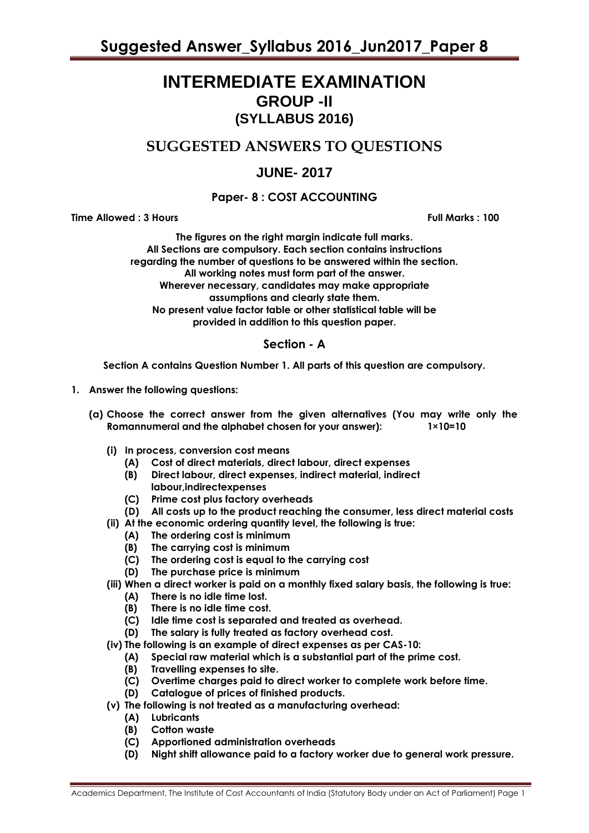# **INTERMEDIATE EXAMINATION GROUP -II (SYLLABUS 2016)**

## **SUGGESTED ANSWERS TO QUESTIONS**

## **JUNE- 2017**

## **Paper- 8 : COST ACCOUNTING**

**Time Allowed : 3 Hours Full Marks : 100**

**The figures on the right margin indicate full marks. All Sections are compulsory. Each section contains instructions regarding the number of questions to be answered within the section. All working notes must form part of the answer. Wherever necessary, candidates may make appropriate assumptions and clearly state them. No present value factor table or other statistical table will be provided in addition to this question paper.**

## **Section - A**

**Section A contains Question Number 1. All parts of this question are compulsory.**

- **1. Answer the following questions:**
	- **(a) Choose the correct answer from the given alternatives (You may write only the Romannumeral and the alphabet chosen for your answer): 1×10=10**
		- **(i) In process, conversion cost means**
			- **(A) Cost of direct materials, direct labour, direct expenses**
			- **(B) Direct labour, direct expenses, indirect material, indirect** 
				- **labour,indirectexpenses**
			- **(C) Prime cost plus factory overheads**
			- **(D) All costs up to the product reaching the consumer, less direct material costs**
		- **(ii) At the economic ordering quantity level, the following is true:**
			- **(A) The ordering cost is minimum**
			- **(B) The carrying cost is minimum**
			- **(C) The ordering cost is equal to the carrying cost**
			- **(D) The purchase price is minimum**
		- **(iii) When a direct worker is paid on a monthly fixed salary basis, the following is true:**
			- **(A) There is no idle time lost.**
			- **(B) There is no idle time cost.**
			- **(C) Idle time cost is separated and treated as overhead.**
			- **(D) The salary is fully treated as factory overhead cost.**
		- **(iv) The following is an example of direct expenses as per CAS-10:**
			- **(A) Special raw material which is a substantial part of the prime cost.**
			- **(B) Travelling expenses to site.**
			- **(C) Overtime charges paid to direct worker to complete work before time.**
			- **(D) Catalogue of prices of finished products.**
		- **(v) The following is not treated as a manufacturing overhead:**
			- **(A) Lubricants**
			- **(B) Cotton waste**
			- **(C) Apportioned administration overheads**
			- **(D) Night shift allowance paid to a factory worker due to general work pressure.**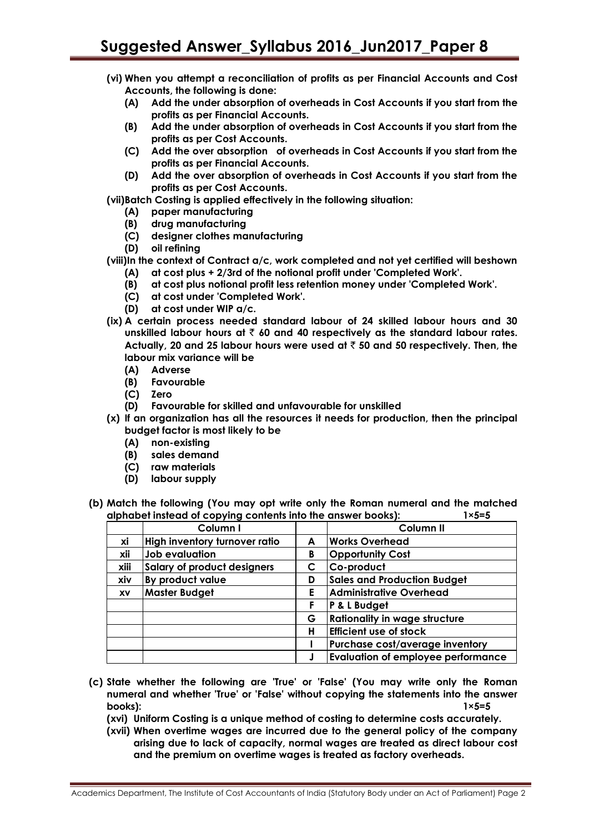- **(vi) When you attempt a reconciliation of profits as per Financial Accounts and Cost Accounts, the following is done:**
	- **(A) Add the under absorption of overheads in Cost Accounts if you start from the profits as per Financial Accounts.**
	- **(B) Add the under absorption of overheads in Cost Accounts if you start from the profits as per Cost Accounts.**
	- **(C) Add the over absorption of overheads in Cost Accounts if you start from the profits as per Financial Accounts.**
	- **(D) Add the over absorption of overheads in Cost Accounts if you start from the profits as per Cost Accounts.**

**(vii)Batch Costing is applied effectively in the following situation:**

- **(A) paper manufacturing**
- **(B) drug manufacturing**
- **(C) designer clothes manufacturing**
- **(D) oil refining**
- **(viii)In the context of Contract a/c, work completed and not yet certified will beshown**
	- **(A) at cost plus + 2/3rd of the notional profit under 'Completed Work'.**
	- **(B) at cost plus notional profit less retention money under 'Completed Work'.**
	- **(C) at cost under 'Completed Work'.**
	- **(D) at cost under WIP a/c.**
- **(ix) A certain process needed standard labour of 24 skilled labour hours and 30 unskilled labour hours at** ` **60 and 40 respectively as the standard labour rates. Actually, 20 and 25 labour hours were used at** ` **50 and 50 respectively. Then, the labour mix variance will be**
	- **(A) Adverse**
	- **(B) Favourable**
	- **(C) Zero**
	- **(D) Favourable for skilled and unfavourable for unskilled**
- **(x) If an organization has all the resources it needs for production, then the principal budget factor is most likely to be**
	- **(A) non-existing**
	- **(B) sales demand**
	- **(C) raw materials**
	- **(D) labour supply**
- **(b) Match the following (You may opt write only the Roman numeral and the matched alphabet instead of copying contents into the answer books): 1×5=5**

|      | Column I                           |   | Column <sub>II</sub>                      |
|------|------------------------------------|---|-------------------------------------------|
| xi   | High inventory turnover ratio      | A | <b>Works Overhead</b>                     |
| xii  | Job evaluation                     | B | <b>Opportunity Cost</b>                   |
| xiii | <b>Salary of product designers</b> | C | Co-product                                |
| xiv  | By product value                   | D | <b>Sales and Production Budget</b>        |
| XV   | <b>Master Budget</b>               | Е | <b>Administrative Overhead</b>            |
|      |                                    | F | P & L Budget                              |
|      |                                    | G | <b>Rationality in wage structure</b>      |
|      |                                    | н | <b>Efficient use of stock</b>             |
|      |                                    |   | Purchase cost/average inventory           |
|      |                                    |   | <b>Evaluation of employee performance</b> |

- **(c) State whether the following are 'True' or 'False' (You may write only the Roman numeral and whether 'True' or 'False' without copying the statements into the answer books): 1×5=5**
	- **(xvi) Uniform Costing is a unique method of costing to determine costs accurately.**
	- **(xvii) When overtime wages are incurred due to the general policy of the company arising due to lack of capacity, normal wages are treated as direct labour cost and the premium on overtime wages is treated as factory overheads.**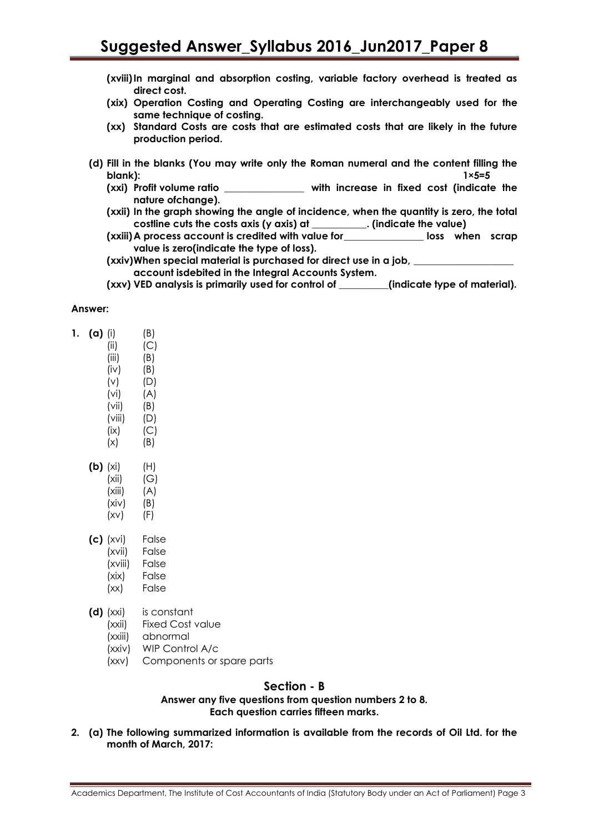- **(xviii)In marginal and absorption costing, variable factory overhead is treated as direct cost.**
- **(xix) Operation Costing and Operating Costing are interchangeably used for the same technique of costing.**
- **(xx) Standard Costs are costs that are estimated costs that are likely in the future production period.**
- **(d) Fill in the blanks (You may write only the Roman numeral and the content filling the blank): 1×5=5**
	- **(xxi) Profit volume ratio \_\_\_\_\_\_\_\_\_\_\_\_\_\_\_\_ with increase in fixed cost (indicate the nature ofchange).**
	- **(xxii) In the graph showing the angle of incidence, when the quantity is zero, the total costline cuts the costs axis (y axis) at \_\_\_\_\_\_\_\_\_\_\_. (indicate the value)**

**(xxiii)A process account is credited with value for\_\_\_\_\_\_\_\_\_\_\_\_\_\_\_\_ loss when scrap value is zero(indicate the type of loss).**

**(xxiv)When special material is purchased for direct use in a job, \_\_\_\_\_\_\_\_\_\_\_\_\_\_\_\_\_\_\_\_ account isdebited in the Integral Accounts System.**

**(xxv) VED analysis is primarily used for control of \_\_\_\_\_\_\_\_\_\_(indicate type of material).**

#### **Answer:**

 $\mathbf{1}$ .

| (i)    | (B) |
|--------|-----|
| (ii)   | (C) |
| (iii)  | (B) |
| (iv)   | (B) |
| (v)    | (D) |
| (vi)   | (A) |
| (vii)  | (B) |
| (viii) | (D) |
| (ix)   | (C) |
| (x)    | (B) |
|        |     |

- **(b)** (xi) (H)  $(xii)$   $(G)$  $(xiii)$   $(A)$  $(xiv)$   $(B)$ 
	- $(xv)$   $(F)$
- **(c)** (xvi) False
	- (xvii) False
	- (xviii) False
	- (xix) False
	- (xx) False
- **(d)** (xxi) is constant
	- (xxii) Fixed Cost value
	- (xxiii) abnormal
	- (xxiv) WIP Control A/c
	- (xxv) Components or spare parts

## **Section - B**

**Answer any five questions from question numbers 2 to 8. Each question carries fifteen marks.**

**2. (a) The following summarized information is available from the records of Oil Ltd. for the month of March, 2017:**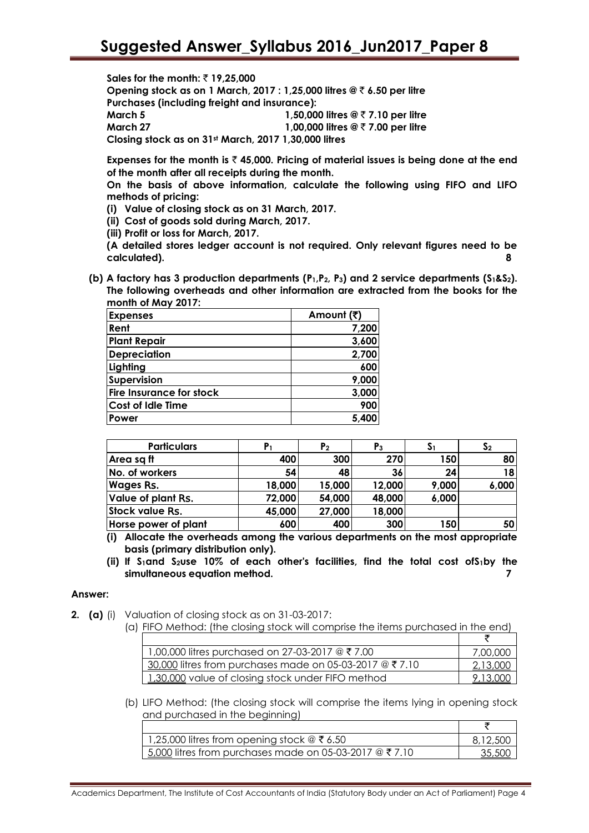**Sales for the month: ₹19,25,000** 

**Opening stock as on 1 March, 2017 : 1,25,000 litres @** ` **6.50 per litre Purchases (including freight and insurance):**

**March 5 1,50,000 litres @** ` **7.10 per litre March 27 1,00,000 litres @** ` **7.00 per litre**

**Closing stock as on 31st March, 2017 1,30,000 litres**

**Expenses for the month is** ` **45,000. Pricing of material issues is being done at the end of the month after all receipts during the month.**

**On the basis of above information, calculate the following using FIFO and LIFO methods of pricing:**

- **(i) Value of closing stock as on 31 March, 2017.**
- **(ii) Cost of goods sold during March, 2017.**
- **(iii) Profit or loss for March, 2017.**

**(A detailed stores ledger account is not required. Only relevant figures need to be calculated). 8**

**(b) A factory has 3 production departments (P1,P2, P3) and 2 service departments (S1&S2). The following overheads and other information are extracted from the books for the month of May 2017:**

| <b>Expenses</b>                 | Amount (₹) |
|---------------------------------|------------|
| Rent                            | 7,200      |
| <b>Plant Repair</b>             | 3,600      |
| <b>Depreciation</b>             | 2,700      |
| Lighting                        | 600        |
| Supervision                     | 9,000      |
| <b>Fire Insurance for stock</b> | 3,000      |
| <b>Cost of Idle Time</b>        | 900        |
| Power                           | 5,400      |

| <b>Particulars</b>   |        | P <sub>2</sub> | $P_3$  | $\mathsf{S}_1$ | S <sub>2</sub> |
|----------------------|--------|----------------|--------|----------------|----------------|
| Area sq ft           | 400    | 300            | 270    | 150            | 80             |
| No. of workers       | 54     | 48             | 36     | 24             | 18             |
| <b>Wages Rs.</b>     | 18,000 | 15,000         | 12,000 | 9,000          | 6,000          |
| Value of plant Rs.   | 72,000 | 54,000         | 48,000 | 6,000          |                |
| Stock value Rs.      | 45,000 | 27,000         | 18,000 |                |                |
| Horse power of plant | 600    | 400            | 300    | 150            | 50             |

**(i) Allocate the overheads among the various departments on the most appropriate basis (primary distribution only).**

**(ii) If S1and S2use 10% of each other's facilities, find the total cost ofS1by the simultaneous equation method. 7**

#### **Answer:**

- **2. (a)** (i) Valuation of closing stock as on 31-03-2017:
	- (a) FIFO Method: (the closing stock will comprise the items purchased in the end)

| 1,00,000 litres purchased on 27-03-2017 @ ₹7.00          | 7,00,000        |
|----------------------------------------------------------|-----------------|
| 30,000 litres from purchases made on 05-03-2017 $@77.10$ | <u>2,13,000</u> |
| 1,30,000 value of closing stock under FIFO method        | 9.13.000        |

(b) LIFO Method: (the closing stock will comprise the items lying in opening stock and purchased in the beginning)

| 1,25,000 litres from opening stock $@ \t3$ 6.50          | 8,12,500 |
|----------------------------------------------------------|----------|
| 1 5,000 litres from purchases made on 05-03-2017 @ ₹7.10 | 35,50C   |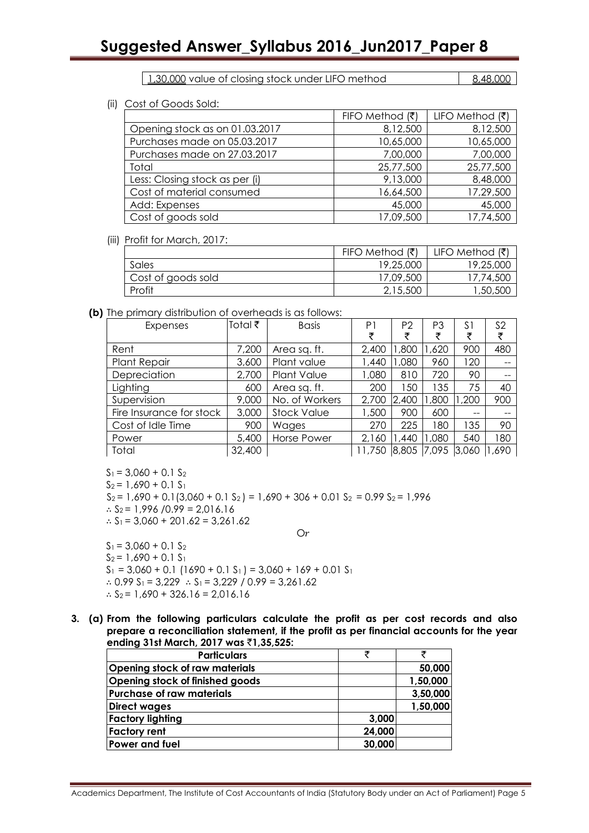# **Suggested Answer\_Syllabus 2016\_Jun2017\_Paper 8**

1,30,000 value of closing stock under LIFO method  $\begin{array}{|l|l|} \hline \end{array}$  8,48,000

(ii) Cost of Goods Sold:

|                                | FIFO Method $( ₹)$ | LIFO Method $( ₹)$ |
|--------------------------------|--------------------|--------------------|
| Opening stock as on 01.03.2017 | 8,12,500           | 8,12,500           |
| Purchases made on 05.03.2017   | 10,65,000          | 10,65,000          |
| Purchases made on 27.03.2017   | 7,00,000           | 7,00,000           |
| Total                          | 25,77,500          | 25,77,500          |
| Less: Closing stock as per (i) | 9,13,000           | 8,48,000           |
| Cost of material consumed      | 16,64,500          | 17,29,500          |
| Add: Expenses                  | 45,000             | 45,000             |
| Cost of goods sold             | 17,09,500          | 17,74,500          |

#### (iii) Profit for March, 2017:

|                    | FIFO Method $(\bar{\bar{\mathbf{x}}})$ | LIFO Method (₹) |
|--------------------|----------------------------------------|-----------------|
| Sales              | 19,25,000                              | 19,25,000       |
| Cost of goods sold | 17,09,500                              | 17,74,500       |
| Profit             | 2,15,500                               | 50,500, ا       |

#### **(b)** The primary distribution of overheads is as follows:

| Expenses                 | Total ₹ | <b>Basis</b>       | P1     | P <sub>2</sub> | P <sub>3</sub> | S1    | S <sub>2</sub> |
|--------------------------|---------|--------------------|--------|----------------|----------------|-------|----------------|
|                          |         |                    | ₹      | ₹              | ₹              | ₹     | ₹              |
| Rent                     | 7,200   | Area sq. ft.       | 2,400  | 1,800          | ,620           | 900   | 480            |
| <b>Plant Repair</b>      | 3,600   | Plant value        | 1,440  | 1,080          | 960            | 120   |                |
| Depreciation             | 2,700   | <b>Plant Value</b> | 1,080  | 810            | 720            | 90    |                |
| Lighting                 | 600     | Area sq. ft.       | 200    | 150            | 135            | 75    | 40             |
| Supervision              | 9,000   | No. of Workers     | 2,700  | 2,400          | ,800           | ,200  | 900            |
| Fire Insurance for stock | 3,000   | <b>Stock Value</b> | 1,500  | 900            | 600            | --    |                |
| Cost of Idle Time        | 900     | Wages              | 270    | 225            | 180            | 135   | 90             |
| Power                    | 5,400   | Horse Power        | 2,160  | ,440           | ,080           | 540   | 180            |
| Total                    | 32,400  |                    | 11,750 | 8,805          | 7,095          | 3,060 | ,690           |

 $S_1 = 3,060 + 0.1 S_2$  $S_2 = 1,690 + 0.1 S_1$  $S_2 = 1,690 + 0.1(3,060 + 0.1 S_2) = 1,690 + 306 + 0.01 S_2 = 0.99 S_2 = 1,996$ ∴  $S_2$  = 1,996 /0.99 = 2,016.16 ∴  $S_1$  = 3,060 + 201.62 = 3,261.62  $Or$ 

 $S_1 = 3,060 + 0.1 S_2$  $S_2 = 1,690 + 0.1 S_1$  $S_1 = 3,060 + 0.1$  (1690 + 0.1 S<sub>1</sub>) = 3,060 + 169 + 0.01 S<sub>1</sub> ∴ 0.99  $S_1$  = 3,229 ∴  $S_1$  = 3,229 / 0.99 = 3,261.62 ∴  $S_2$  = 1,690 + 326.16 = 2,016.16

**3. (a) From the following particulars calculate the profit as per cost records and also prepare a reconciliation statement, if the profit as per financial accounts for the year ending 31st March, 2017 was** `**1,35,525:**

| <b>Particulars</b>               | ₹      |          |
|----------------------------------|--------|----------|
| Opening stock of raw materials   |        | 50,000   |
| Opening stock of finished goods  |        | 1,50,000 |
| <b>Purchase of raw materials</b> |        | 3,50,000 |
| <b>Direct wages</b>              |        | 1,50,000 |
| <b>Factory lighting</b>          | 3,000  |          |
| <b>Factory rent</b>              | 24,000 |          |
| Power and fuel                   | 30,000 |          |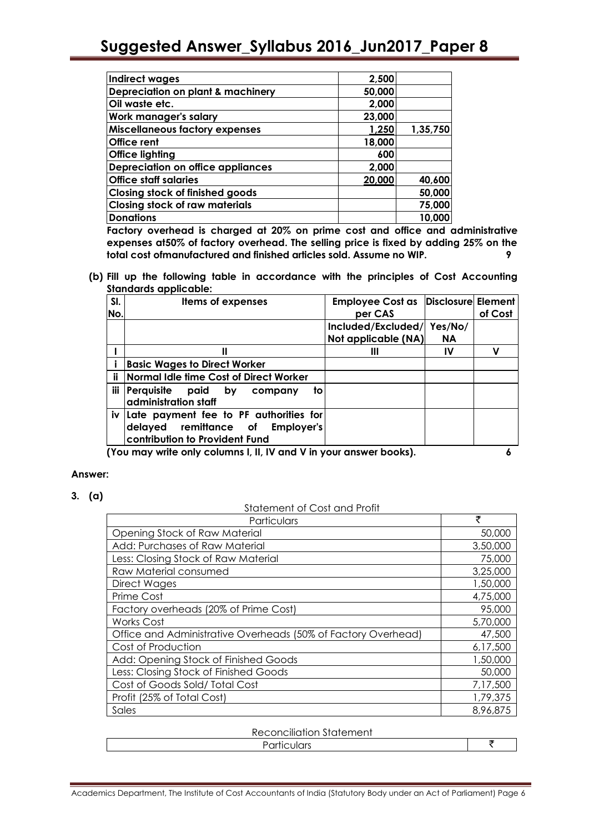| <b>Indirect wages</b>                    | 2,500  |          |
|------------------------------------------|--------|----------|
| Depreciation on plant & machinery        | 50,000 |          |
| Oil waste etc.                           | 2,000  |          |
| Work manager's salary                    | 23,000 |          |
| <b>Miscellaneous factory expenses</b>    | 1,250  | 1,35,750 |
| Office rent                              | 18,000 |          |
| <b>Office lighting</b>                   | 600    |          |
| <b>Depreciation on office appliances</b> | 2,000  |          |
| <b>Office staff salaries</b>             | 20,000 | 40,600   |
| <b>Closing stock of finished goods</b>   |        | 50,000   |
| <b>Closing stock of raw materials</b>    |        | 75,000   |
| <b>Donations</b>                         |        | 10,000   |

**Factory overhead is charged at 20% on prime cost and office and administrative expenses at50% of factory overhead. The selling price is fixed by adding 25% on the total cost ofmanufactured and finished articles sold. Assume no WIP. 9**

**(b) Fill up the following table in accordance with the principles of Cost Accounting Standards applicable:**

| SI.        | <b>Items of expenses</b>                                       | Employee Cost as Disclosure Element |           |         |
|------------|----------------------------------------------------------------|-------------------------------------|-----------|---------|
| No.        |                                                                | per CAS                             |           | of Cost |
|            |                                                                | Included/Excluded/                  | Yes/No/   |         |
|            |                                                                | Not applicable (NA)                 | <b>NA</b> |         |
|            | Ш                                                              | Ш                                   | IV        | ν       |
|            | <b>Basic Wages to Direct Worker</b>                            |                                     |           |         |
| ii         | Normal Idle time Cost of Direct Worker                         |                                     |           |         |
| <b>iii</b> | Perquisite<br>paid by<br>to<br>company<br>administration staff |                                     |           |         |
|            | iv Late payment fee to PF authorities for                      |                                     |           |         |
|            | delayed remittance of<br><b>Employer's</b>                     |                                     |           |         |
|            | contribution to Provident Fund                                 |                                     |           |         |
|            |                                                                |                                     |           |         |

**(You may write only columns I, II, IV and V in your answer books). 6**

#### **Answer:**

**3. (a)**

Statement of Cost and Profit

| יייסו ראוש ונטט וט ווסחטושוט<br>Particulars                   | ₹        |
|---------------------------------------------------------------|----------|
| Opening Stock of Raw Material                                 | 50,000   |
| Add: Purchases of Raw Material                                | 3,50,000 |
| Less: Closing Stock of Raw Material                           | 75,000   |
| Raw Material consumed                                         | 3,25,000 |
| Direct Wages                                                  | 1,50,000 |
| Prime Cost                                                    | 4,75,000 |
| Factory overheads (20% of Prime Cost)                         | 95,000   |
| <b>Works Cost</b>                                             | 5,70,000 |
| Office and Administrative Overheads (50% of Factory Overhead) | 47,500   |
| Cost of Production                                            | 6,17,500 |
| Add: Opening Stock of Finished Goods                          | 1,50,000 |
| Less: Closing Stock of Finished Goods                         | 50,000   |
| Cost of Goods Sold/Total Cost                                 | 7,17,500 |
| Profit (25% of Total Cost)                                    | 1,79,375 |
| Sales                                                         | 8,96,875 |

|--|

Particulars `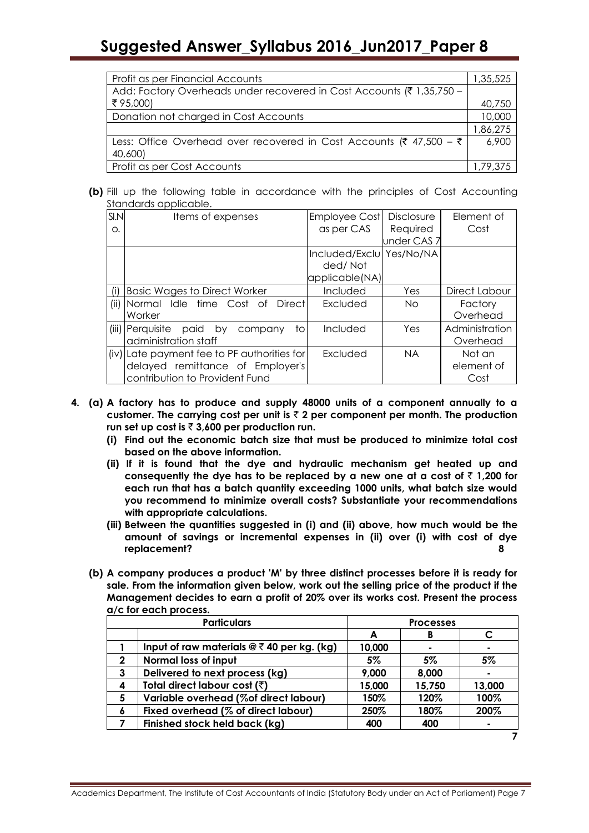| Profit as per Financial Accounts                                      | 1,35,525 |
|-----------------------------------------------------------------------|----------|
| Add: Factory Overheads under recovered in Cost Accounts (₹ 1,35,750 - |          |
| ₹95,000)                                                              | 40,750   |
| Donation not charged in Cost Accounts                                 | 10,000   |
|                                                                       | 1,86,275 |
| Less: Office Overhead over recovered in Cost Accounts (₹ 47,500 – ₹   | 6,900    |
| 40,600)                                                               |          |
| Profit as per Cost Accounts                                           | 1,79,375 |

**(b)** Fill up the following table in accordance with the principles of Cost Accounting Standards applicable.

| SIM  | Items of expenses                             | <b>Employee Cost</b>     | <b>Disclosure</b> | Element of     |
|------|-----------------------------------------------|--------------------------|-------------------|----------------|
| Ο.   |                                               | as per CAS               | Required          | Cost           |
|      |                                               |                          | under CAS 7       |                |
|      |                                               | Included/Exclu Yes/No/NA |                   |                |
|      |                                               | ded/Not                  |                   |                |
|      |                                               | applicable(NA)           |                   |                |
| (i)  | <b>Basic Wages to Direct Worker</b>           | Included                 | Yes               | Direct Labour  |
| (ii) | Normal Idle time Cost of<br><b>Directl</b>    | Excluded                 | No.               | Factory        |
|      | Worker                                        |                          |                   | Overhead       |
|      | (iii) Perquisite<br>paid by<br>to.<br>company | Included                 | Yes               | Administration |
|      | administration staff                          |                          |                   | Overhead       |
|      | (iv) Late payment fee to PF authorities for   | Excluded                 | NA.               | Not an         |
|      | delayed remittance of Employer's              |                          |                   | element of     |
|      | contribution to Provident Fund                |                          |                   | Cost           |

- **4. (a) A factory has to produce and supply 48000 units of a component annually to a customer. The carrying cost per unit is** ` **2 per component per month. The production**  run set up cost is  $\bar{z}$  3,600 per production run.
	- **(i) Find out the economic batch size that must be produced to minimize total cost based on the above information.**
	- **(ii) If it is found that the dye and hydraulic mechanism get heated up and**  consequently the dye has to be replaced by a new one at a cost of  $\bar{z}$  1,200 for **each run that has a batch quantity exceeding 1000 units, what batch size would you recommend to minimize overall costs? Substantiate your recommendations with appropriate calculations.**
	- **(iii) Between the quantities suggested in (i) and (ii) above, how much would be the amount of savings or incremental expenses in (ii) over (i) with cost of dye replacement? 8**
	- **(b) A company produces a product 'M' by three distinct processes before it is ready for sale. From the information given below, work out the selling price of the product if the Management decides to earn a profit of 20% over its works cost. Present the process a/c for each process.**

|   | <b>Particulars</b>                                 | <b>Processes</b> |        |        |  |
|---|----------------------------------------------------|------------------|--------|--------|--|
|   |                                                    | A                | B      |        |  |
|   | Input of raw materials $@ \bar{f} 40$ per kg. (kg) | 10,000           |        |        |  |
| 2 | Normal loss of input                               | 5%               | 5%     | 5%     |  |
| 3 | Delivered to next process (kg)                     | 9,000            | 8,000  |        |  |
| 4 | Total direct labour cost (₹)                       | 15,000           | 15,750 | 13,000 |  |
| 5 | Variable overhead (%of direct labour)              | 150%             | 120%   | 100%   |  |
| 6 | Fixed overhead (% of direct labour)                | 250%             | 180%   | 200%   |  |
|   | Finished stock held back (kg)                      | 400              | 400    | ۰      |  |
|   |                                                    |                  |        |        |  |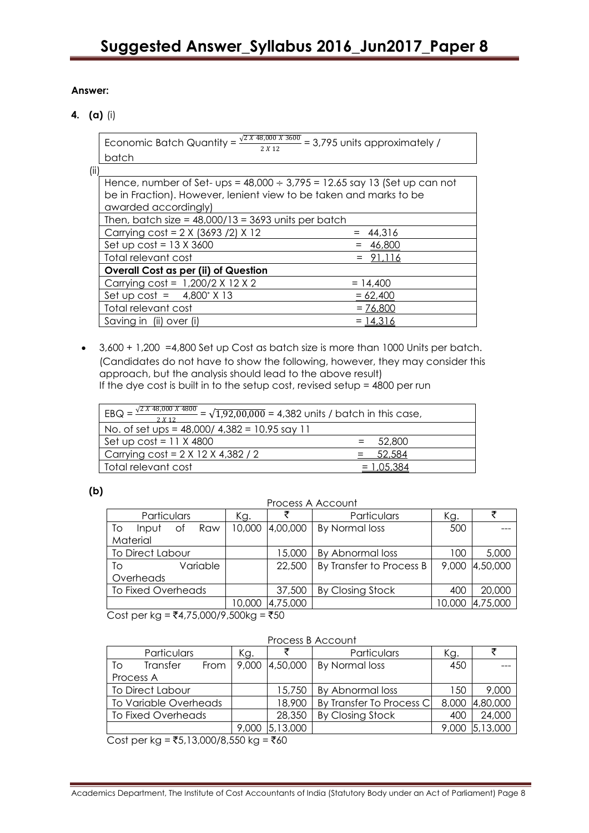### **Answer:**

**4. (a)** (i)

Economic Batch Quantity =  $\frac{\sqrt{2} X 48,000 X 3600}{2 X 12}$  = 3,795 units approximately / batch

| (ii) |                                                                                |            |  |  |  |  |  |  |
|------|--------------------------------------------------------------------------------|------------|--|--|--|--|--|--|
|      | Hence, number of Set- ups = $48,000 \div 3,795 = 12.65$ say 13 (Set up can not |            |  |  |  |  |  |  |
|      | be in Fraction). However, lenient view to be taken and marks to be             |            |  |  |  |  |  |  |
|      | awarded accordingly)                                                           |            |  |  |  |  |  |  |
|      | Then, batch size = $48,000/13 = 3693$ units per batch                          |            |  |  |  |  |  |  |
|      | Carrying $cost = 2 \times (3693 / 2) \times 12$                                | 44,316     |  |  |  |  |  |  |
|      | Set up $cost = 13 \times 3600$                                                 | 46,800     |  |  |  |  |  |  |
|      | Total relevant cost                                                            |            |  |  |  |  |  |  |
|      | <b>Overall Cost as per (ii) of Question</b>                                    |            |  |  |  |  |  |  |
|      | Carrying $cost = 1,200/2 \times 12 \times 2$                                   | $= 14,400$ |  |  |  |  |  |  |
|      | Set up $cost = 4,800^* \times 13$                                              | $= 62,400$ |  |  |  |  |  |  |
|      | Total relevant cost                                                            | $= 76,800$ |  |  |  |  |  |  |
|      | Saving in (ii) over (i)                                                        | $= 14,316$ |  |  |  |  |  |  |

 3,600 + 1,200 =4,800 Set up Cost as batch size is more than 1000 Units per batch. (Candidates do not have to show the following, however, they may consider this approach, but the analysis should lead to the above result) If the dye cost is built in to the setup cost, revised setup = 4800 per run

| $\sqrt{2} X 48,000 X 4800$<br>$EBQ =$<br>$=\sqrt{1,92,00,000}$ = 4,382 units / batch in this case,<br>2 X 12 |          |  |  |  |
|--------------------------------------------------------------------------------------------------------------|----------|--|--|--|
| No. of set ups = $48,000/4,382 = 10.95$ say 11                                                               |          |  |  |  |
| $\sqrt{5}$ Set up cost = 11 X 4800                                                                           | 52,800   |  |  |  |
| Carrying $cost = 2 \times 12 \times 4,382 / 2$                                                               | - 52.584 |  |  |  |
| Total relevant cost                                                                                          |          |  |  |  |

## **(b)**

Process A Account

| Particulars              | Kg.    |                 | Particulars              | Kg.    |          |
|--------------------------|--------|-----------------|--------------------------|--------|----------|
| Raw<br>To<br>Οt<br>Input |        | 10,000 4,00,000 | By Normal loss           | 500    |          |
| Material                 |        |                 |                          |        |          |
| To Direct Labour         |        | 15,000          | By Abnormal loss         | 100    | 5,000    |
| Variable<br>To           |        | 22,500          | By Transfer to Process B | 9,000  | 4,50,000 |
| Overheads                |        |                 |                          |        |          |
| To Fixed Overheads       |        | 37,500          | By Closing Stock         | 400    | 20,000   |
|                          | 10,000 | 4,75,000        |                          | 10,000 | 4,75,000 |

 $Cost per kg = ₹4,75,000/9,500kg = ₹50$ 

| Particulars |                           | Kg.  |  | Particulars                         | Kg.                      |       |                |
|-------------|---------------------------|------|--|-------------------------------------|--------------------------|-------|----------------|
| Τo          | Transfer                  | From |  | $\mid$ 9,000 $\mid$ 4,50,000 $\mid$ | By Normal loss           | 450   |                |
| Process A   |                           |      |  |                                     |                          |       |                |
|             | To Direct Labour          |      |  | 15,750                              | By Abnormal loss         | 150   | 9,000          |
|             | To Variable Overheads     |      |  | 18.900                              | By Transfer To Process C | 8,000 | 4,80,000       |
|             | <b>To Fixed Overheads</b> |      |  | 28,350                              | By Closing Stock         | 400   | 24,000         |
|             |                           |      |  | 9,000 5,13,000                      |                          |       | 9,000 5,13,000 |

 $Cost per kg = ₹5,13,000/8,550 kg = ₹60$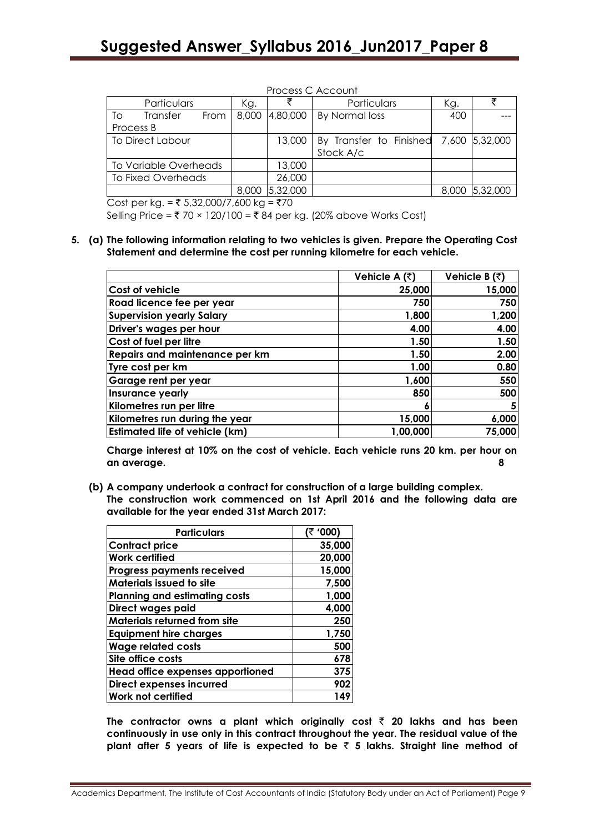|                         | Process C Account     |      |        |                                        |                               |     |                |
|-------------------------|-----------------------|------|--------|----------------------------------------|-------------------------------|-----|----------------|
|                         | Particulars           |      | Kg.    |                                        | Particulars                   | Kg. |                |
| To                      | Transfer              | From |        |                                        | 8,000 4,80,000 By Normal loss | 400 |                |
| Process B               |                       |      |        |                                        |                               |     |                |
| <b>To Direct Labour</b> |                       |      | 13,000 | By Transfer to Finished 7,600 5,32,000 |                               |     |                |
|                         |                       |      |        |                                        | Stock A/c                     |     |                |
|                         | To Variable Overheads |      |        | 13,000                                 |                               |     |                |
| To Fixed Overheads      |                       |      | 26,000 |                                        |                               |     |                |
|                         |                       |      |        | 8,000 5,32,000                         |                               |     | 8,000 5,32,000 |

Cost per kg. =  $\overline{5}$  5,32,000/7,600 kg =  $\overline{5}$ 70

Selling Price =  $\bar{\tau}$  70 × 120/100 =  $\bar{\tau}$  84 per kg. (20% above Works Cost)

**5. (a) The following information relating to two vehicles is given. Prepare the Operating Cost Statement and determine the cost per running kilometre for each vehicle.**

|                                       | Vehicle A (₹) | Vehicle B (₹) |
|---------------------------------------|---------------|---------------|
| <b>Cost of vehicle</b>                | 25,000        | 15,000        |
| Road licence fee per year             | 750           | 750           |
| <b>Supervision yearly Salary</b>      | 1,800         | 1,200         |
| Driver's wages per hour               | 4.00          | 4.00          |
| Cost of fuel per litre                | 1.50          | 1.50          |
| Repairs and maintenance per km        | 1.50          | 2.00          |
| Tyre cost per km                      | 1.00          | 0.80          |
| Garage rent per year                  | 1,600         | 550           |
| Insurance yearly                      | 850           | 500           |
| Kilometres run per litre              | o             | 5             |
| Kilometres run during the year        | 15,000        | 6,000         |
| <b>Estimated life of vehicle (km)</b> | 1,00,000      | 75,000        |

**Charge interest at 10% on the cost of vehicle. Each vehicle runs 20 km. per hour on an average. 8**

**(b) A company undertook a contract for construction of a large building complex. The construction work commenced on 1st April 2016 and the following data are available for the year ended 31st March 2017:**

| <b>Particulars</b>                   | (₹ '000) |
|--------------------------------------|----------|
| <b>Contract price</b>                | 35,000   |
| <b>Work certified</b>                | 20,000   |
| <b>Progress payments received</b>    | 15,000   |
| <b>Materials issued to site</b>      | 7,500    |
| <b>Planning and estimating costs</b> | 1,000    |
| Direct wages paid                    | 4,000    |
| <b>Materials returned from site</b>  | 250      |
| <b>Equipment hire charges</b>        | 1,750    |
| <b>Wage related costs</b>            | 500      |
| Site office costs                    | 678      |
| Head office expenses apportioned     | 375      |
| Direct expenses incurred             | 902      |
| Work not certified                   | 149      |

The contractor owns a plant which originally cost  $\bar{\tau}$  20 lakhs and has been **continuously in use only in this contract throughout the year. The residual value of the plant after 5 years of life is expected to be** ` **5 lakhs. Straight line method of**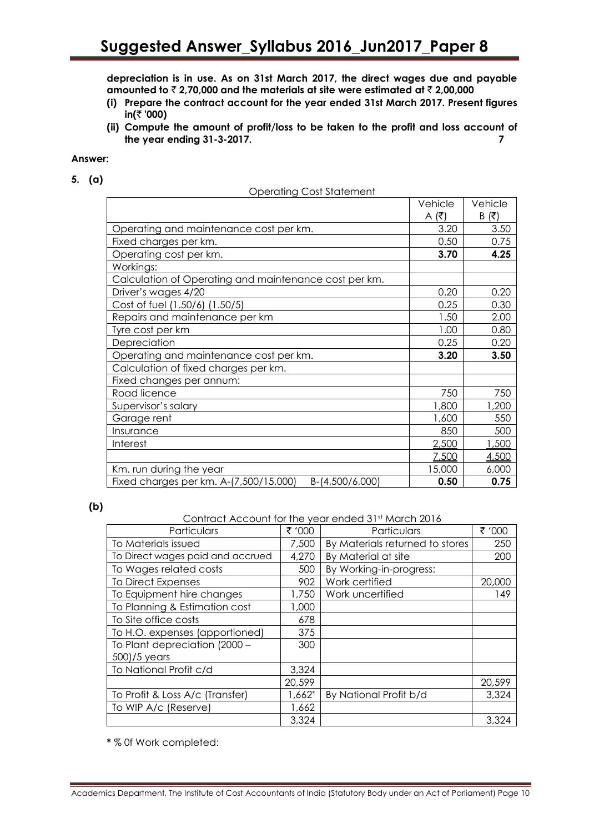**depreciation is in use. As on 31st March 2017, the direct wages due and payable amounted to** ` **2,70,000 and the materials at site were estimated at** ` **2,00,000**

- **(i) Prepare the contract account for the year ended 31st March 2017. Present figures**   $in(\bar{z}$  '000)
- **(ii) Compute the amount of profit/loss to be taken to the profit and loss account of the year ending 31-3-2017. 7**

#### **Answer:**

**5. (a)**

| <b>Operating Cost Statement</b> |  |
|---------------------------------|--|
|                                 |  |

|                                                           | Vehicle | Vehicle  |
|-----------------------------------------------------------|---------|----------|
|                                                           | A (₹)   | (₹)<br>B |
| Operating and maintenance cost per km.                    | 3.20    | 3.50     |
| Fixed charges per km.                                     | 0.50    | 0.75     |
| Operating cost per km.                                    | 3.70    | 4.25     |
| Workings:                                                 |         |          |
| Calculation of Operating and maintenance cost per km.     |         |          |
| Driver's wages 4/20                                       | 0.20    | 0.20     |
| Cost of fuel (1.50/6) (1.50/5)                            | 0.25    | 0.30     |
| Repairs and maintenance per km                            | 1.50    | 2.00     |
| Tyre cost per km                                          | 1.00    | 0.80     |
| Depreciation                                              | 0.25    | 0.20     |
| Operating and maintenance cost per km.                    | 3.20    | 3.50     |
| Calculation of fixed charges per km.                      |         |          |
| Fixed changes per annum:                                  |         |          |
| Road licence                                              | 750     | 750      |
| Supervisor's salary                                       | 1,800   | 1,200    |
| Garage rent                                               | 1,600   | 550      |
| Insurance                                                 | 850     | 500      |
| Interest                                                  | 2,500   | 1,500    |
|                                                           | 7,500   | 4,500    |
| Km. run during the year                                   | 15,000  | 6,000    |
| Fixed charges per km. A-(7,500/15,000)<br>B-(4,500/6,000) | 0.50    | 0.75     |

#### **(b)**

Contract Account for the year ended 31st March 2016

| Particulars                      | ₹ '000    | Particulars                     | ₹ '000 |
|----------------------------------|-----------|---------------------------------|--------|
| To Materials issued              | 7,500     | By Materials returned to stores | 250    |
| To Direct wages paid and accrued | 4,270     | By Material at site             | 200    |
| To Wages related costs           | 500       | By Working-in-progress:         |        |
| To Direct Expenses               | 902       | Work certified                  | 20,000 |
| To Equipment hire changes        | 1,750     | Work uncertified                | 149    |
| To Planning & Estimation cost    | 1,000     |                                 |        |
| To Site office costs             | 678       |                                 |        |
| To H.O. expenses (apportioned)   | 375       |                                 |        |
| To Plant depreciation (2000 -    | 300       |                                 |        |
| 500)/5 years                     |           |                                 |        |
| To National Profit c/d           | 3,324     |                                 |        |
|                                  | 20,599    |                                 | 20,599 |
| To Profit & Loss A/c (Transfer)  | $1,662^*$ | By National Profit b/d          | 3,324  |
| To WIP A/c (Reserve)             | 1,662     |                                 |        |
|                                  | 3,324     |                                 | 3,324  |

**\*** % 0f Work completed: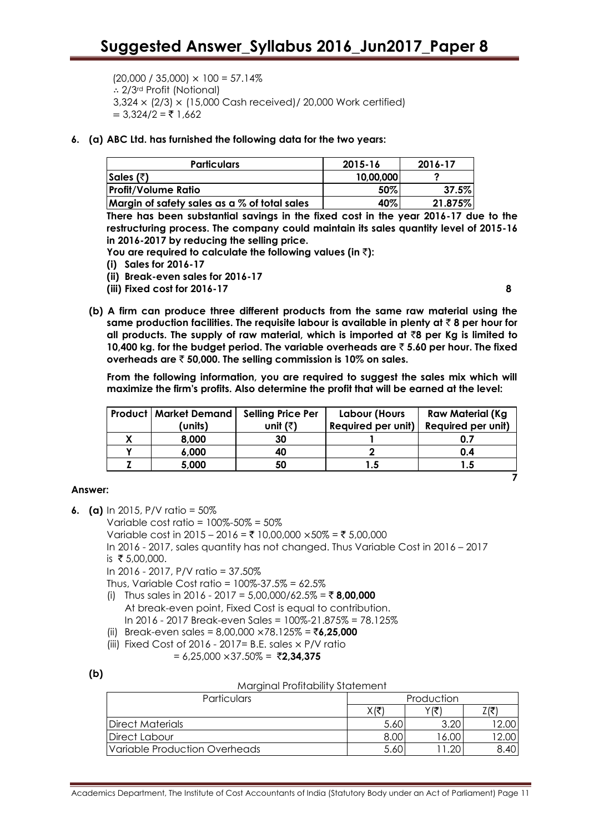$(20,000 / 35,000) \times 100 = 57.14\%$ ∴ 2/3rd Profit (Notional) 3,324 × (2/3) × (15,000 Cash received)/ 20,000 Work certified)  $= 3.324/2 = 51.662$ 

**6. (a) ABC Ltd. has furnished the following data for the two years:**

| <b>Particulars</b>                              | 2015-16   | 2016-17 |
|-------------------------------------------------|-----------|---------|
| Sales (₹)                                       | 10,00,000 |         |
| <b>Profit/Volume Ratio</b>                      | 50%       | 37.5%   |
| Margin of safety sales as a $\%$ of total sales | 40%       | 21.875% |

**There has been substantial savings in the fixed cost in the year 2016-17 due to the restructuring process. The company could maintain its sales quantity level of 2015-16 in 2016-2017 by reducing the selling price.**

**You are required to calculate the following values (in** `**):** 

- **(i) Sales for 2016-17**
- **(ii) Break-even sales for 2016-17**
- **(iii) Fixed cost for 2016-17 8**

**(b) A firm can produce three different products from the same raw material using the same production facilities. The requisite labour is available in plenty at** ` **8 per hour for all products. The supply of raw material, which is imported at** `**8 per Kg is limited to 10,400 kg. for the budget period. The variable overheads are** ` **5.60 per hour. The fixed overheads are** ` **50,000. The selling commission is 10% on sales.**

**From the following information, you are required to suggest the sales mix which will maximize the firm's profits. Also determine the profit that will be earned at the level:**

| Product   Market Demand | <b>Selling Price Per</b> | Labour (Hours      | <b>Raw Material (Kg)</b> |
|-------------------------|--------------------------|--------------------|--------------------------|
| (units)                 | unit (₹)                 | Required per unit) | Required per unit)       |
| 8,000                   | 30                       |                    |                          |
| 6,000                   | 40                       |                    | 0.4                      |
| 5,000                   | 50                       | 1.5                | 1.5                      |
|                         |                          |                    |                          |

## **Answer:**

- **6. (a)** In 2015, P/V ratio = 50%
	- Variable cost ratio =  $100\% 50\% = 50\%$

Variable cost in 2015 – 2016 = ₹ 10,00,000 ×50% = ₹ 5,00,000

In 2016 - 2017, sales quantity has not changed. Thus Variable Cost in 2016 – 2017

is  $\bar{x}$  5,00,000.

In 2016 - 2017, P/V ratio = 37.50%

Thus, Variable Cost ratio = 100%-37.5% = 62.5%

- (i) Thus sales in 2016 2017 = 5,00,000/62.5% = ₹ **8,00,000** At break-even point, Fixed Cost is equal to contribution. In 2016 - 2017 Break-even Sales = 100%-21.875% = 78.125%
- (ii) Break-even sales = 8,00,000 ×78.125% = `**6,25,000**
- (iii) Fixed Cost of 2016 2017 = B.E. sales  $\times$  P/V ratio
	- $= 6,25,000 \times 37.50\% = ₹2,34,375$

**(b)**

|  |  | <b>Marginal Profitability Statement</b> |  |
|--|--|-----------------------------------------|--|
|  |  |                                         |  |

| Particulars                   | Production |  |  |
|-------------------------------|------------|--|--|
|                               | Xl₹        |  |  |
| Direct Materials              | 5.60       |  |  |
| Direct Labour                 | 8.00       |  |  |
| Variable Production Overheads | 5.60       |  |  |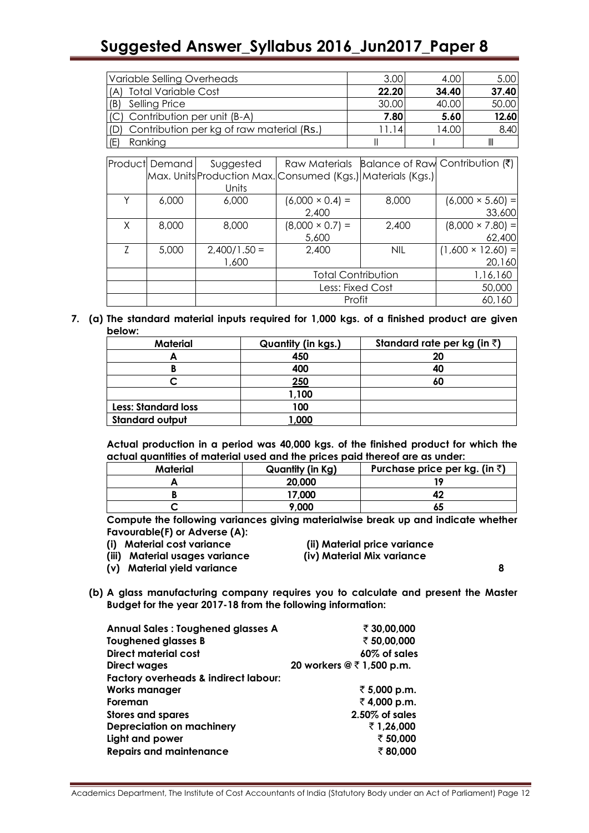# **Suggested Answer\_Syllabus 2016\_Jun2017\_Paper 8**

| Variable Selling Overheads                       | 3.00  | 4.00  | 5.00  |
|--------------------------------------------------|-------|-------|-------|
| <b>Total Variable Cost</b><br>(A)                | 22.20 | 34.40 | 37.40 |
| Selling Price<br>(B)                             | 30.00 | 40.00 | 50.00 |
| (C) Contribution per unit (B-A)                  | 7.80  | 5.60  | 12.60 |
| Contribution per kg of raw material (Rs.)<br>(D) | 11.14 | 14.00 | 8.40  |
| (E)<br>Ranking                                   |       |       | Ш     |

|   | <b>Product Demand</b> | Suggested      |                                                               |            | Raw Materials Balance of Raw Contribution (₹) |
|---|-----------------------|----------------|---------------------------------------------------------------|------------|-----------------------------------------------|
|   |                       |                | Max. Units Production Max. Consumed (Kgs.)   Materials (Kgs.) |            |                                               |
|   |                       | Units          |                                                               |            |                                               |
|   | 6,000                 | 6,000          | $(6,000 \times 0.4) =$                                        | 8,000      | $(6,000 \times 5.60) =$                       |
|   |                       |                | 2,400                                                         |            | 33,600                                        |
| Χ | 8,000                 | 8,000          | $(8,000 \times 0.7) =$                                        | 2,400      | $(8,000 \times 7.80)$ =                       |
|   |                       |                | 5,600                                                         |            | 62,400                                        |
| 7 | 5,000                 | $2,400/1.50 =$ | 2,400                                                         | <b>NIL</b> | $(1,600 \times 12.60) =$                      |
|   |                       | 1,600          |                                                               |            | 20,160                                        |
|   |                       |                | <b>Total Contribution</b>                                     |            | 1,16,160                                      |
|   |                       |                | Less: Fixed Cost                                              |            | 50,000                                        |
|   |                       |                | Profit                                                        |            | 60,160                                        |

**7. (a) The standard material inputs required for 1,000 kgs. of a finished product are given below:**

| <b>Material</b>            | <b>Quantity (in kgs.)</b> | Standard rate per kg (in $\bar{z}$ ) |
|----------------------------|---------------------------|--------------------------------------|
|                            | 450                       | 20                                   |
|                            | 400                       | 40                                   |
|                            | 250                       | 60                                   |
|                            | 1,100                     |                                      |
| <b>Less: Standard loss</b> | 100                       |                                      |
| <b>Standard output</b>     | ,000                      |                                      |

**Actual production in a period was 40,000 kgs. of the finished product for which the actual quantities of material used and the prices paid thereof are as under:**

| Material | Quantity (in Kg) | Purchase price per kg. (in $\bar{z}$ ) |
|----------|------------------|----------------------------------------|
|          | 20,000           |                                        |
|          | 17,000           |                                        |
|          | 9.000            | о.                                     |

**Compute the following variances giving materialwise break up and indicate whether Favourable(F) or Adverse (A):**

- **(i) Material cost variance (ii) Material price variance**
	-

**(iii) Material usages variance (iv) Material Mix variance**

**(v) Material yield variance 8**

**(b) A glass manufacturing company requires you to calculate and present the Master Budget for the year 2017-18 from the following information:**

| <b>Annual Sales: Toughened glasses A</b>        | ₹ 30,00,000               |
|-------------------------------------------------|---------------------------|
| <b>Toughened glasses B</b>                      | ₹ 50,00,000               |
| <b>Direct material cost</b>                     | 60% of sales              |
| Direct wages                                    | 20 workers @ ₹ 1,500 p.m. |
| <b>Factory overheads &amp; indirect labour:</b> |                           |
| <b>Works manager</b>                            | ₹ 5,000 p.m.              |
| Foreman                                         | ₹4,000 p.m.               |
| <b>Stores and spares</b>                        | $2.50\%$ of sales         |
| <b>Depreciation on machinery</b>                | ₹1,26,000                 |
| Light and power                                 | ₹ 50,000                  |
| <b>Repairs and maintenance</b>                  | ₹80,000                   |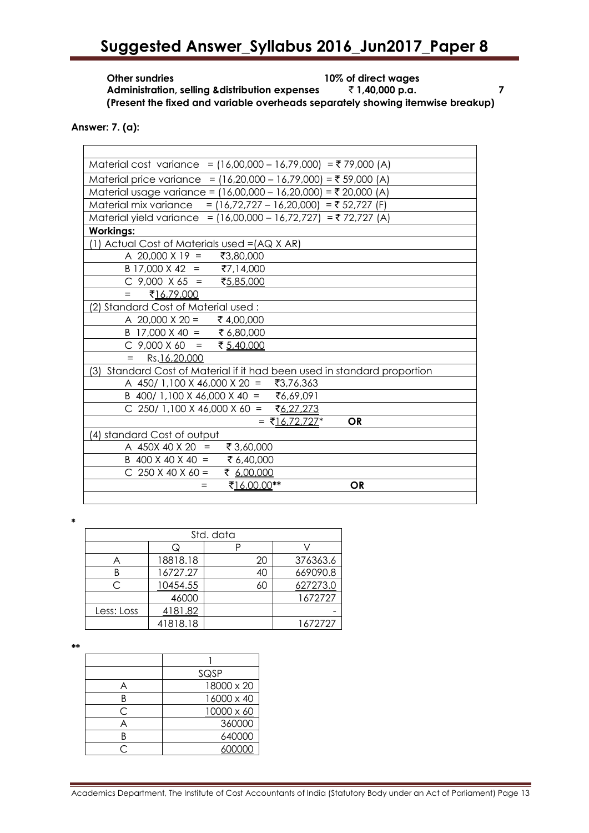# **Suggested Answer\_Syllabus 2016\_Jun2017\_Paper 8**

**Other sundries 10% of direct wages Administration, selling &distribution expenses** ` **1,40,000 p.a. 7 (Present the fixed and variable overheads separately showing itemwise breakup)**

**Answer: 7. (a):**

 $\overline{a}$ 

| Material cost variance = $(16,00,000 - 16,79,000) = ₹79,000 (A)$        |  |  |  |
|-------------------------------------------------------------------------|--|--|--|
| Material price variance = $(16,20,000 - 16,79,000) = ₹ 59,000 (A)$      |  |  |  |
| Material usage variance = (16,00,000 - 16,20,000) = ₹ 20,000 (A)        |  |  |  |
| Material mix variance<br>= $(16,72,727 - 16,20,000) = ₹ 52,727$ (F)     |  |  |  |
| Material yield variance = (16,00,000 - 16,72,727) = ₹72,727 (A)         |  |  |  |
| <b>Workings:</b>                                                        |  |  |  |
| (1) Actual Cost of Materials used = (AQ X AR)                           |  |  |  |
| A 20,000 X 19 = ₹3,80,000                                               |  |  |  |
| B 17,000 X 42 = ₹7,14,000                                               |  |  |  |
| C 9,000 X 65 = ₹5,85,000                                                |  |  |  |
| ₹16,79,000<br>$=$                                                       |  |  |  |
| 2) Standard Cost of Material used:                                      |  |  |  |
| A 20,000 X 20 = ₹ 4,00,000                                              |  |  |  |
| <u>B 17,000 X 40 = ₹ 6,80,000</u><br>C 9,000 X 60 = ₹ <u>5.40.000</u>   |  |  |  |
|                                                                         |  |  |  |
| Rs.16.20.000<br>$=$                                                     |  |  |  |
| 3) Standard Cost of Material if it had been used in standard proportion |  |  |  |
| A 450/ 1,100 X 46,000 X 20 = ₹3,76,363                                  |  |  |  |
| B 400/ 1,100 X 46,000 X 40 = ₹6,69,091                                  |  |  |  |
| C 250/ 1,100 X 46,000 X 60 = ₹6,27,273                                  |  |  |  |
| <b>OR</b><br>= ₹16,72,727 <sup>*</sup>                                  |  |  |  |
| 4) standard Cost of output                                              |  |  |  |
| A 450X 40 X 20 =<br>₹ 3,60,000                                          |  |  |  |
| B 400 X 40 X 40 = ₹ 6,40,000                                            |  |  |  |
| C 250 X 40 X 60 = ₹ 6,00,000                                            |  |  |  |
| ₹16,00,00**<br><b>OR</b><br>$=$                                         |  |  |  |
|                                                                         |  |  |  |

**\***

| Std. data  |          |    |          |  |  |
|------------|----------|----|----------|--|--|
|            | ړ        |    |          |  |  |
|            | 18818.18 | 20 | 376363.6 |  |  |
| R          | 16727.27 | 40 | 669090.8 |  |  |
|            | 10454.55 | 60 | 627273.0 |  |  |
|            | 46000    |    | 1672727  |  |  |
| Less: Loss | 4181.82  |    |          |  |  |
|            | 41818.18 |    | 1672727  |  |  |

*\*\**

|   | SQSP       |
|---|------------|
|   | 18000 x 20 |
|   | 16000 x 40 |
| ◠ | 10000 x 60 |
|   | 360000     |
|   | 640000     |
|   |            |

Academics Department, The Institute of Cost Accountants of India (Statutory Body under an Act of Parliament) Page 13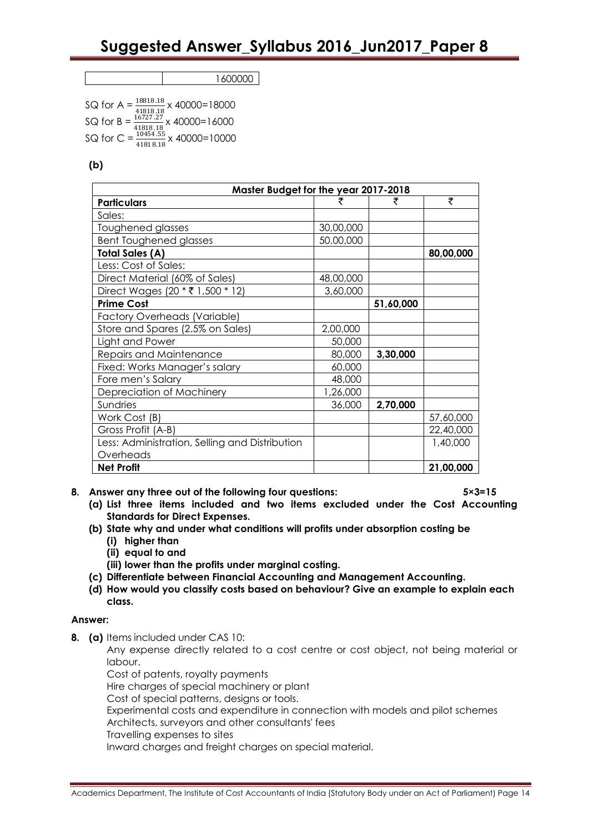1600000

SQ for A =  $\frac{18818.18}{41818.18}$ <br>SQ for B =  $\frac{16727.27}{41818.18}$ SQ for A =  $\frac{18818.18}{2}$  x 40000=18000  $x 40000 = 16000$ SQ for C =  $\frac{10454.55}{100000}$  x 40000=10000 41818.18

**(b)**

| Master Budget for the year 2017-2018           |           |           |           |
|------------------------------------------------|-----------|-----------|-----------|
| <b>Particulars</b>                             |           |           | ₹         |
| Sales:                                         |           |           |           |
| Toughened glasses                              | 30,00,000 |           |           |
| <b>Bent Toughened glasses</b>                  | 50,00,000 |           |           |
| <b>Total Sales (A)</b>                         |           |           | 80,00,000 |
| Less: Cost of Sales:                           |           |           |           |
| Direct Material (60% of Sales)                 | 48,00,000 |           |           |
| Direct Wages (20 * ₹ 1,500 * 12)               | 3,60,000  |           |           |
| <b>Prime Cost</b>                              |           | 51,60,000 |           |
| <b>Factory Overheads (Variable)</b>            |           |           |           |
| Store and Spares (2.5% on Sales)               | 2,00,000  |           |           |
| Light and Power                                | 50,000    |           |           |
| Repairs and Maintenance                        | 80,000    | 3,30,000  |           |
| Fixed: Works Manager's salary                  | 60,000    |           |           |
| Fore men's Salary                              | 48,000    |           |           |
| Depreciation of Machinery                      | 1,26,000  |           |           |
| Sundries                                       | 36,000    | 2,70,000  |           |
| Work Cost (B)                                  |           |           | 57,60,000 |
| Gross Profit (A-B)                             |           |           | 22,40,000 |
| Less: Administration, Selling and Distribution |           |           | 1,40,000  |
| Overheads                                      |           |           |           |
| <b>Net Profit</b>                              |           |           | 21,00,000 |

- **8. Answer any three out of the following four questions: 5×3=15**
	- **(a) List three items included and two items excluded under the Cost Accounting Standards for Direct Expenses.**
	- **(b) State why and under what conditions will profits under absorption costing be**
		- **(i) higher than**
		- **(ii) equal to and**
		- **(iii) lower than the profits under marginal costing.**
	- **(c) Differentiate between Financial Accounting and Management Accounting.**
	- **(d) How would you classify costs based on behaviour? Give an example to explain each class.**

#### **Answer:**

**8. (a)** Items included under CAS 10:

Any expense directly related to a cost centre or cost object, not being material or labour.

Cost of patents, royalty payments

Hire charges of special machinery or plant

Cost of special patterns, designs or tools.

Experimental costs and expenditure in connection with models and pilot schemes Architects, surveyors and other consultants' fees

Travelling expenses to sites

Inward charges and freight charges on special material.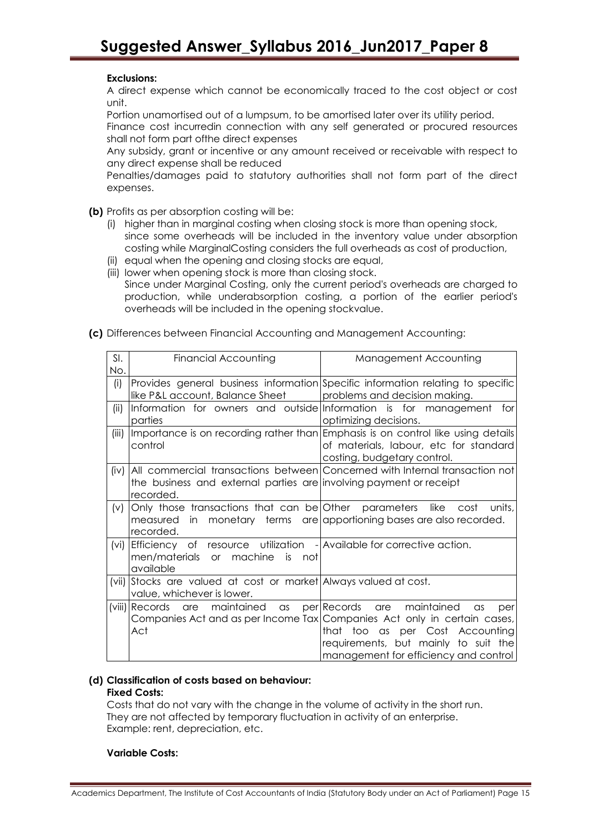### **Exclusions:**

A direct expense which cannot be economically traced to the cost object or cost unit.

Portion unamortised out of a lumpsum, to be amortised later over its utility period.

Finance cost incurredin connection with any self generated or procured resources shall not form part ofthe direct expenses

Any subsidy, grant or incentive or any amount received or receivable with respect to any direct expense shall be reduced

Penalties/damages paid to statutory authorities shall not form part of the direct expenses.

**(b)** Profits as per absorption costing will be:

- (i) higher than in marginal costing when closing stock is more than opening stock, since some overheads will be included in the inventory value under absorption costing while MarginalCosting considers the full overheads as cost of production,
- (ii) equal when the opening and closing stocks are equal,
- (iii) lower when opening stock is more than closing stock. Since under Marginal Costing, only the current period's overheads are charged to production, while underabsorption costing, a portion of the earlier period's overheads will be included in the opening stockvalue.
- **(c)** Differences between Financial Accounting and Management Accounting:

| SI.     | Financial Accounting                                                  | Management Accounting                                                            |
|---------|-----------------------------------------------------------------------|----------------------------------------------------------------------------------|
| No.     |                                                                       |                                                                                  |
| (i)     |                                                                       | Provides general business information Specific information relating to specific  |
|         | like P&L account, Balance Sheet                                       | problems and decision making.                                                    |
| (ii)    |                                                                       | Information for owners and outside Information is for management for             |
|         | parties                                                               | optimizing decisions.                                                            |
| (iii)   |                                                                       | Importance is on recording rather than Emphasis is on control like using details |
|         | control                                                               | of materials, labour, etc for standard                                           |
|         |                                                                       | costing, budgetary control.                                                      |
| (iv)    |                                                                       | All commercial transactions between Concerned with Internal transaction not      |
|         | the business and external parties are involving payment or receipt    |                                                                                  |
|         | recorded.                                                             |                                                                                  |
| (v)     | Only those transactions that can be Other parameters like             | cost<br>units,                                                                   |
|         | measured in                                                           | monetary terms are apportioning bases are also recorded.                         |
|         | recorded.                                                             |                                                                                  |
| (vi)    | Efficiency of resource utilization - Available for corrective action. |                                                                                  |
|         | men/materials or machine<br>is is<br>not l                            |                                                                                  |
|         | available                                                             |                                                                                  |
| $(vii)$ | Stocks are valued at cost or market Always valued at cost.            |                                                                                  |
|         | value, whichever is lower.                                            |                                                                                  |
|         | (viii) Records<br>are maintained as                                   | per Records<br>maintained<br>are<br>$\alpha$ s<br>per                            |
|         |                                                                       | Companies Act and as per Income Tax Companies Act only in certain cases,         |
|         | Act                                                                   | that too as per Cost Accounting                                                  |
|         |                                                                       | requirements, but mainly to suit the                                             |
|         |                                                                       | management for efficiency and control                                            |

#### **(d) Classification of costs based on behaviour:**

#### **Fixed Costs:**

Costs that do not vary with the change in the volume of activity in the short run. They are not affected by temporary fluctuation in activity of an enterprise. Example: rent, depreciation, etc.

#### **Variable Costs:**